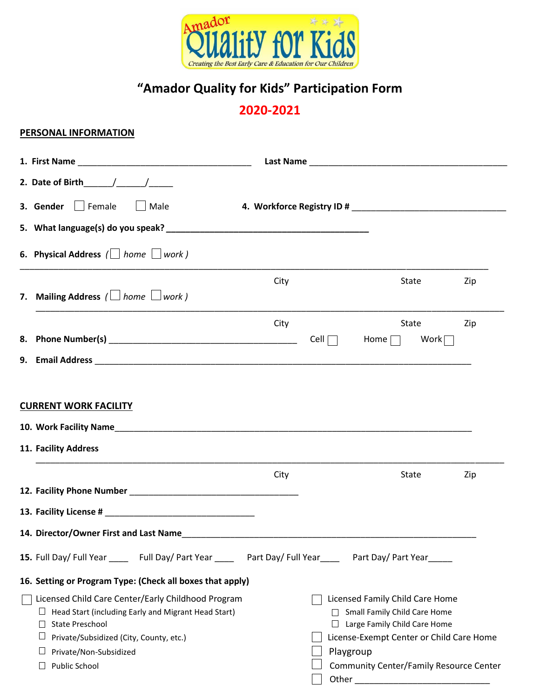

# **"Amador Quality for Kids" Participation Form**

## **2020-2021**

## **PERSONAL INFORMATION**

| 2. Date of Birth $\frac{1}{\sqrt{2}}$                                                                                                                                                                                                    |      |                         |                                                                                                                                                                                               |     |
|------------------------------------------------------------------------------------------------------------------------------------------------------------------------------------------------------------------------------------------|------|-------------------------|-----------------------------------------------------------------------------------------------------------------------------------------------------------------------------------------------|-----|
| 3. Gender   Female<br>Male                                                                                                                                                                                                               |      |                         |                                                                                                                                                                                               |     |
|                                                                                                                                                                                                                                          |      |                         |                                                                                                                                                                                               |     |
| 6. Physical Address ( home work)                                                                                                                                                                                                         |      |                         |                                                                                                                                                                                               |     |
| 7. Mailing Address $\left(\Box\text{ home }\Box\text{ work}\right)$                                                                                                                                                                      | City |                         | State                                                                                                                                                                                         | Zip |
|                                                                                                                                                                                                                                          | City |                         | State                                                                                                                                                                                         | Zip |
|                                                                                                                                                                                                                                          |      | Cell $\Box$             | Home $\Box$<br>Work $\Box$                                                                                                                                                                    |     |
|                                                                                                                                                                                                                                          |      |                         |                                                                                                                                                                                               |     |
| 11. Facility Address                                                                                                                                                                                                                     | City |                         | State                                                                                                                                                                                         | Zip |
|                                                                                                                                                                                                                                          |      |                         |                                                                                                                                                                                               |     |
|                                                                                                                                                                                                                                          |      |                         |                                                                                                                                                                                               |     |
|                                                                                                                                                                                                                                          |      |                         |                                                                                                                                                                                               |     |
| 15. Full Day/ Full Year _______ Full Day/ Part Year ________ Part Day/ Full Year _______ Part Day/ Part Year ______                                                                                                                      |      |                         |                                                                                                                                                                                               |     |
| 16. Setting or Program Type: (Check all boxes that apply)                                                                                                                                                                                |      |                         |                                                                                                                                                                                               |     |
| Licensed Child Care Center/Early Childhood Program<br>Head Start (including Early and Migrant Head Start)<br><b>State Preschool</b><br>$\Box$<br>Private/Subsidized (City, County, etc.)<br>ப<br>Private/Non-Subsidized<br>Public School |      | ⊔<br>Playgroup<br>Other | Licensed Family Child Care Home<br>Small Family Child Care Home<br>Large Family Child Care Home<br>License-Exempt Center or Child Care Home<br><b>Community Center/Family Resource Center</b> |     |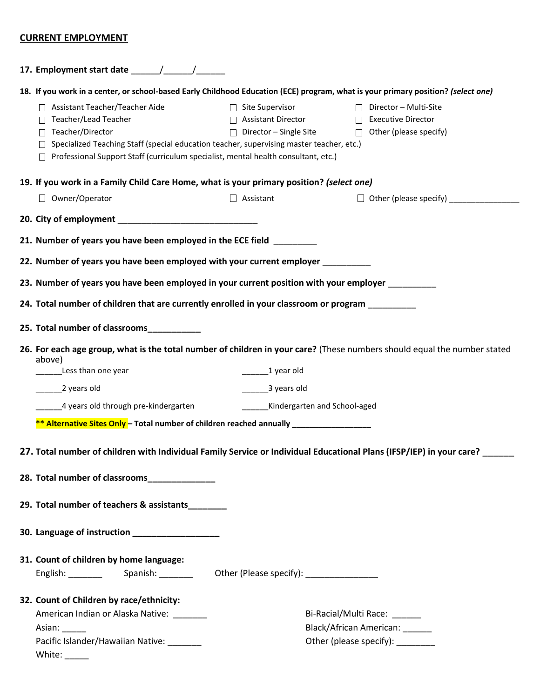### **CURRENT EMPLOYMENT**

|                                                                                                                      |                                        | 18. If you work in a center, or school-based Early Childhood Education (ECE) program, what is your primary position? (select one) |  |  |  |  |  |
|----------------------------------------------------------------------------------------------------------------------|----------------------------------------|-----------------------------------------------------------------------------------------------------------------------------------|--|--|--|--|--|
| Assistant Teacher/Teacher Aide                                                                                       | $\Box$ Site Supervisor                 | $\Box$ Director – Multi-Site                                                                                                      |  |  |  |  |  |
| Teacher/Lead Teacher                                                                                                 | Assistant Director                     | <b>Executive Director</b><br>$\Box$                                                                                               |  |  |  |  |  |
| Teacher/Director                                                                                                     | $\Box$ Director - Single Site          | $\Box$ Other (please specify)                                                                                                     |  |  |  |  |  |
| Specialized Teaching Staff (special education teacher, supervising master teacher, etc.)                             |                                        |                                                                                                                                   |  |  |  |  |  |
| Professional Support Staff (curriculum specialist, mental health consultant, etc.)                                   |                                        |                                                                                                                                   |  |  |  |  |  |
| 19. If you work in a Family Child Care Home, what is your primary position? (select one)                             |                                        |                                                                                                                                   |  |  |  |  |  |
| $\Box$ Owner/Operator                                                                                                | $\Box$ Assistant                       |                                                                                                                                   |  |  |  |  |  |
|                                                                                                                      |                                        |                                                                                                                                   |  |  |  |  |  |
| 21. Number of years you have been employed in the ECE field                                                          |                                        |                                                                                                                                   |  |  |  |  |  |
| 22. Number of years you have been employed with your current employer __________                                     |                                        |                                                                                                                                   |  |  |  |  |  |
| 23. Number of years you have been employed in your current position with your employer                               |                                        |                                                                                                                                   |  |  |  |  |  |
| 24. Total number of children that are currently enrolled in your classroom or program                                |                                        |                                                                                                                                   |  |  |  |  |  |
| 25. Total number of classrooms____________                                                                           |                                        |                                                                                                                                   |  |  |  |  |  |
|                                                                                                                      |                                        |                                                                                                                                   |  |  |  |  |  |
| above)                                                                                                               |                                        | 26. For each age group, what is the total number of children in your care? (These numbers should equal the number stated          |  |  |  |  |  |
| Less than one year                                                                                                   | $\frac{1}{2}$ year old                 |                                                                                                                                   |  |  |  |  |  |
| 2 years old                                                                                                          | $\frac{1}{2}$ years old                |                                                                                                                                   |  |  |  |  |  |
| 4 years old through pre-kindergarten                                                                                 | __________Kindergarten and School-aged |                                                                                                                                   |  |  |  |  |  |
| ** Alternative Sites Only - Total number of children reached annually _________________                              |                                        |                                                                                                                                   |  |  |  |  |  |
| 27. Total number of children with Individual Family Service or Individual Educational Plans (IFSP/IEP) in your care? |                                        |                                                                                                                                   |  |  |  |  |  |
|                                                                                                                      |                                        |                                                                                                                                   |  |  |  |  |  |
| 28. Total number of classrooms______________                                                                         |                                        |                                                                                                                                   |  |  |  |  |  |
| 29. Total number of teachers & assistants                                                                            |                                        |                                                                                                                                   |  |  |  |  |  |
| 30. Language of instruction ________________                                                                         |                                        |                                                                                                                                   |  |  |  |  |  |
| 31. Count of children by home language:                                                                              |                                        |                                                                                                                                   |  |  |  |  |  |
|                                                                                                                      |                                        |                                                                                                                                   |  |  |  |  |  |
| 32. Count of Children by race/ethnicity:                                                                             |                                        |                                                                                                                                   |  |  |  |  |  |
| American Indian or Alaska Native:                                                                                    |                                        | Bi-Racial/Multi Race: ______                                                                                                      |  |  |  |  |  |
| Asian:                                                                                                               |                                        | Black/African American: _____                                                                                                     |  |  |  |  |  |
| Pacific Islander/Hawaiian Native:                                                                                    |                                        | Other (please specify):                                                                                                           |  |  |  |  |  |
|                                                                                                                      |                                        |                                                                                                                                   |  |  |  |  |  |
|                                                                                                                      |                                        |                                                                                                                                   |  |  |  |  |  |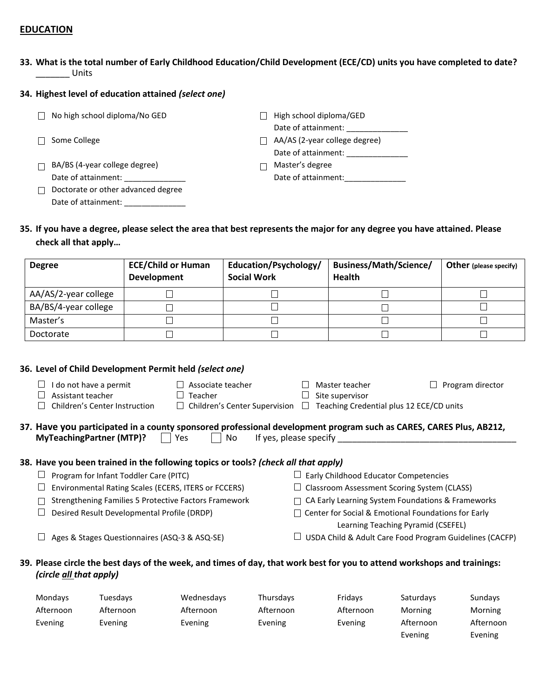#### **EDUCATION**

**33. What is the total number of Early Childhood Education/Child Development (ECE/CD) units you have completed to date?** \_\_\_\_\_\_\_ Units

#### **34. Highest level of education attained** *(select one)*

| No high school diploma/No GED      | High school diploma/GED       |
|------------------------------------|-------------------------------|
|                                    | Date of attainment:           |
| Some College                       | AA/AS (2-year college degree) |
|                                    | Date of attainment:           |
| BA/BS (4-year college degree)      | Master's degree               |
| Date of attainment:                | Date of attainment:           |
| Doctorate or other advanced degree |                               |
| Date of attainment:                |                               |
|                                    |                               |

**35. If you have a degree, please select the area that best represents the major for any degree you have attained. Please check all that apply…**

| <b>Degree</b>        | <b>ECE/Child or Human</b><br><b>Development</b> | Education/Psychology/<br><b>Social Work</b> | Business/Math/Science/<br><b>Health</b> | <b>Other</b> (please specify) |
|----------------------|-------------------------------------------------|---------------------------------------------|-----------------------------------------|-------------------------------|
| AA/AS/2-year college |                                                 |                                             |                                         |                               |
| BA/BS/4-year college |                                                 |                                             |                                         |                               |
| Master's             |                                                 |                                             |                                         |                               |
| Doctorate            |                                                 |                                             |                                         |                               |

#### **36. Level of Child Development Permit held** *(select one)*

|                                                                                    |                                                                                                                    | do not have a permit<br>Assistant teacher<br>Children's Center Instruction | Associate teacher<br>Teacher<br>$\Box$ Children's Center Supervision |  | Master teacher<br>Site supervisor<br>Teaching Credential plus 12 ECE/CD units | Program director |  |  |
|------------------------------------------------------------------------------------|--------------------------------------------------------------------------------------------------------------------|----------------------------------------------------------------------------|----------------------------------------------------------------------|--|-------------------------------------------------------------------------------|------------------|--|--|
|                                                                                    |                                                                                                                    |                                                                            |                                                                      |  |                                                                               |                  |  |  |
|                                                                                    | 37. Have you participated in a county sponsored professional development program such as CARES, CARES Plus, AB212, |                                                                            |                                                                      |  |                                                                               |                  |  |  |
| <b>MyTeachingPartner (MTP)?</b><br>If yes, please specify<br>No<br>Yes             |                                                                                                                    |                                                                            |                                                                      |  |                                                                               |                  |  |  |
| 38. Have you been trained in the following topics or tools? (check all that apply) |                                                                                                                    |                                                                            |                                                                      |  |                                                                               |                  |  |  |
|                                                                                    |                                                                                                                    | Program for Infant Toddler Care (PITC)                                     |                                                                      |  | Early Childhood Educator Competencies                                         |                  |  |  |
|                                                                                    |                                                                                                                    | Environmental Rating Scales (ECERS, ITERS or FCCERS)                       |                                                                      |  | Classroom Assessment Scoring System (CLASS)                                   |                  |  |  |
|                                                                                    |                                                                                                                    | <b>Strengthening Families 5 Protective Factors Framework</b>               |                                                                      |  | CA Early Learning System Foundations & Frameworks                             |                  |  |  |
|                                                                                    |                                                                                                                    | Desired Result Developmental Profile (DRDP)                                |                                                                      |  | Center for Social & Emotional Foundations for Early                           |                  |  |  |

- Learning Teaching Pyramid (CSEFEL)
- $\Box$  Ages & Stages Questionnaires (ASQ-3 & ASQ-SE)  $\Box$  USDA Child & Adult Care Food Program Guidelines (CACFP)

#### **39. Please circle the best days of the week, and times of day, that work best for you to attend workshops and trainings:**  *(circle all that apply)*

| Mondays   | Tuesdays  | Wednesdays | Thursdays | Fridays   | Saturdays | Sundays   |
|-----------|-----------|------------|-----------|-----------|-----------|-----------|
| Afternoon | Afternoon | Afternoon  | Afternoon | Afternoon | Morning   | Morning   |
| Evening   | Evening   | Evening    | Evening   | Evening   | Afternoon | Afternoon |
|           |           |            |           |           | Evening   | Evening   |